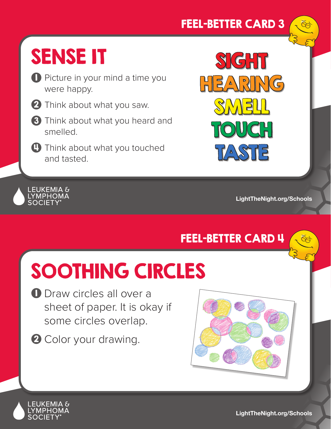#### FEEL-BETTER CARD 3

# SENSE IT

- **D** Picture in your mind a time you were happy.
- 2 Think about what you saw.
- **3** Think about what you heard and smelled.
- **Think about what you touched** and tasted.



**LightTheNight.org/Schools**

### FEEL-BETTER CARD 4

# SOOTHING CIRCLES

- D Draw circles all over a sheet of paper. It is okay if some circles overlap.
- 2 Color your drawing.



LEUKEMIA &<br>LYMPHOMA<br>SOCIETY®

**LightTheNight.org/Schools**